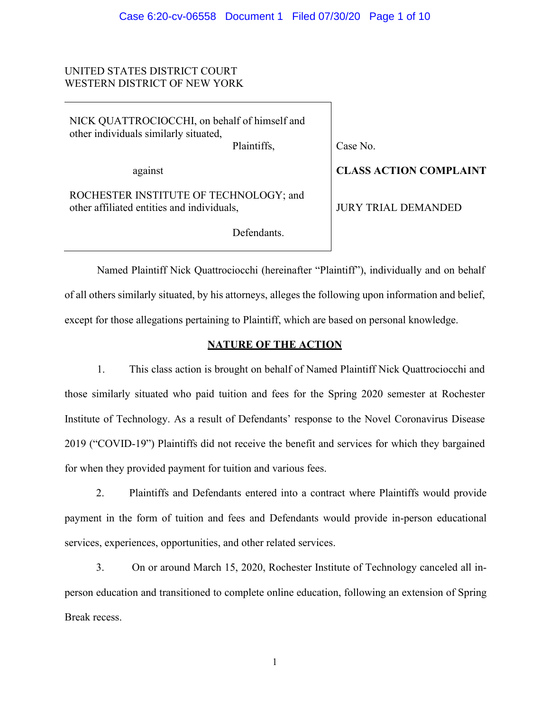# UNITED STATES DISTRICT COURT WESTERN DISTRICT OF NEW YORK

NICK QUATTROCIOCCHI, on behalf of himself and other individuals similarly situated, Plaintiffs,

Case No.

against

ROCHESTER INSTITUTE OF TECHNOLOGY; and other affiliated entities and individuals,

Defendants.

**CLASS ACTION COMPLAINT**

JURY TRIAL DEMANDED

Named Plaintiff Nick Quattrociocchi (hereinafter "Plaintiff"), individually and on behalf of all others similarly situated, by his attorneys, alleges the following upon information and belief, except for those allegations pertaining to Plaintiff, which are based on personal knowledge.

# **NATURE OF THE ACTION**

1. This class action is brought on behalf of Named Plaintiff Nick Quattrociocchi and those similarly situated who paid tuition and fees for the Spring 2020 semester at Rochester Institute of Technology. As a result of Defendants' response to the Novel Coronavirus Disease 2019 ("COVID-19") Plaintiffs did not receive the benefit and services for which they bargained for when they provided payment for tuition and various fees.

2. Plaintiffs and Defendants entered into a contract where Plaintiffs would provide payment in the form of tuition and fees and Defendants would provide in-person educational services, experiences, opportunities, and other related services.

3. On or around March 15, 2020, Rochester Institute of Technology canceled all inperson education and transitioned to complete online education, following an extension of Spring Break recess.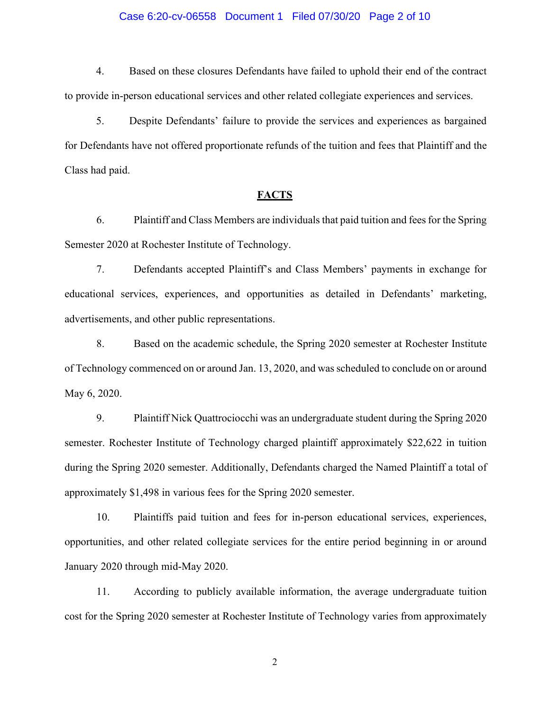### Case 6:20-cv-06558 Document 1 Filed 07/30/20 Page 2 of 10

4. Based on these closures Defendants have failed to uphold their end of the contract to provide in-person educational services and other related collegiate experiences and services.

5. Despite Defendants' failure to provide the services and experiences as bargained for Defendants have not offered proportionate refunds of the tuition and fees that Plaintiff and the Class had paid.

# **FACTS**

6. Plaintiff and Class Members are individuals that paid tuition and fees for the Spring Semester 2020 at Rochester Institute of Technology.

7. Defendants accepted Plaintiff's and Class Members' payments in exchange for educational services, experiences, and opportunities as detailed in Defendants' marketing, advertisements, and other public representations.

8. Based on the academic schedule, the Spring 2020 semester at Rochester Institute of Technology commenced on or around Jan. 13, 2020, and was scheduled to conclude on or around May 6, 2020.

9. Plaintiff Nick Quattrociocchi was an undergraduate student during the Spring 2020 semester. Rochester Institute of Technology charged plaintiff approximately \$22,622 in tuition during the Spring 2020 semester. Additionally, Defendants charged the Named Plaintiff a total of approximately \$1,498 in various fees for the Spring 2020 semester.

10. Plaintiffs paid tuition and fees for in-person educational services, experiences, opportunities, and other related collegiate services for the entire period beginning in or around January 2020 through mid-May 2020.

11. According to publicly available information, the average undergraduate tuition cost for the Spring 2020 semester at Rochester Institute of Technology varies from approximately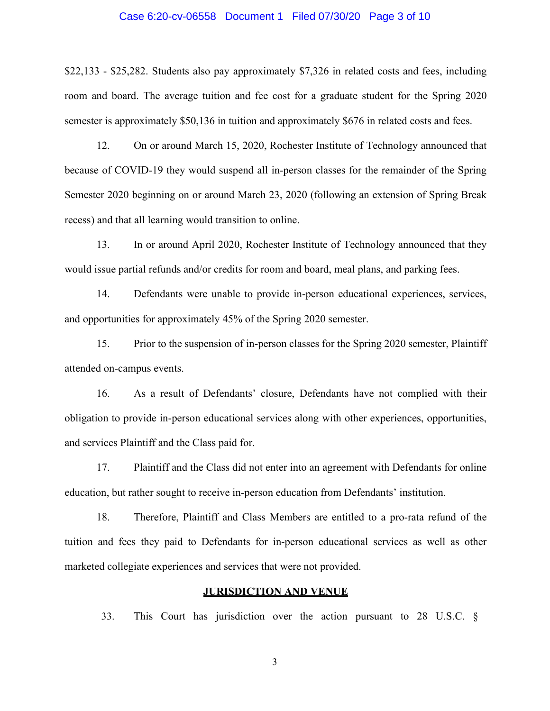### Case 6:20-cv-06558 Document 1 Filed 07/30/20 Page 3 of 10

\$22,133 - \$25,282. Students also pay approximately \$7,326 in related costs and fees, including room and board. The average tuition and fee cost for a graduate student for the Spring 2020 semester is approximately \$50,136 in tuition and approximately \$676 in related costs and fees.

12. On or around March 15, 2020, Rochester Institute of Technology announced that because of COVID-19 they would suspend all in-person classes for the remainder of the Spring Semester 2020 beginning on or around March 23, 2020 (following an extension of Spring Break recess) and that all learning would transition to online.

13. In or around April 2020, Rochester Institute of Technology announced that they would issue partial refunds and/or credits for room and board, meal plans, and parking fees.

14. Defendants were unable to provide in-person educational experiences, services, and opportunities for approximately 45% of the Spring 2020 semester.

15. Prior to the suspension of in-person classes for the Spring 2020 semester, Plaintiff attended on-campus events.

16. As a result of Defendants' closure, Defendants have not complied with their obligation to provide in-person educational services along with other experiences, opportunities, and services Plaintiff and the Class paid for.

17. Plaintiff and the Class did not enter into an agreement with Defendants for online education, but rather sought to receive in-person education from Defendants' institution.

18. Therefore, Plaintiff and Class Members are entitled to a pro-rata refund of the tuition and fees they paid to Defendants for in-person educational services as well as other marketed collegiate experiences and services that were not provided.

### **JURISDICTION AND VENUE**

33. This Court has jurisdiction over the action pursuant to 28 U.S.C. §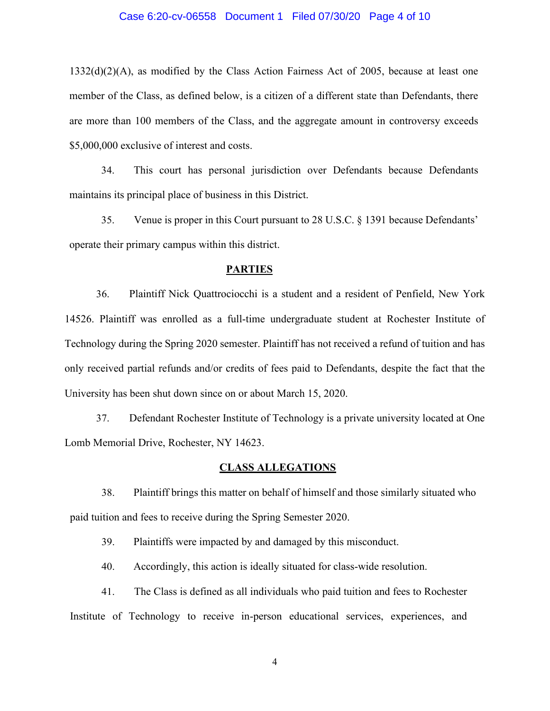### Case 6:20-cv-06558 Document 1 Filed 07/30/20 Page 4 of 10

 $1332(d)(2)(A)$ , as modified by the Class Action Fairness Act of 2005, because at least one member of the Class, as defined below, is a citizen of a different state than Defendants, there are more than 100 members of the Class, and the aggregate amount in controversy exceeds \$5,000,000 exclusive of interest and costs.

34. This court has personal jurisdiction over Defendants because Defendants maintains its principal place of business in this District.

35. Venue is proper in this Court pursuant to 28 U.S.C. § 1391 because Defendants' operate their primary campus within this district.

#### **PARTIES**

36. Plaintiff Nick Quattrociocchi is a student and a resident of Penfield, New York 14526. Plaintiff was enrolled as a full-time undergraduate student at Rochester Institute of Technology during the Spring 2020 semester. Plaintiff has not received a refund of tuition and has only received partial refunds and/or credits of fees paid to Defendants, despite the fact that the University has been shut down since on or about March 15, 2020.

37. Defendant Rochester Institute of Technology is a private university located at One Lomb Memorial Drive, Rochester, NY 14623.

### **CLASS ALLEGATIONS**

38. Plaintiff brings this matter on behalf of himself and those similarly situated who paid tuition and fees to receive during the Spring Semester 2020.

39. Plaintiffs were impacted by and damaged by this misconduct.

40. Accordingly, this action is ideally situated for class-wide resolution.

41. The Class is defined as all individuals who paid tuition and fees to Rochester Institute of Technology to receive in-person educational services, experiences, and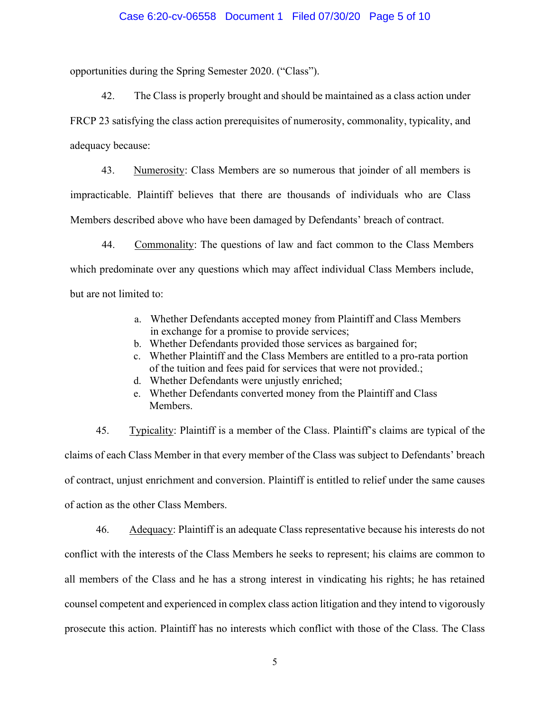### Case 6:20-cv-06558 Document 1 Filed 07/30/20 Page 5 of 10

opportunities during the Spring Semester 2020. ("Class").

42. The Class is properly brought and should be maintained as a class action under FRCP 23 satisfying the class action prerequisites of numerosity, commonality, typicality, and adequacy because:

43. Numerosity: Class Members are so numerous that joinder of all members is impracticable. Plaintiff believes that there are thousands of individuals who are Class Members described above who have been damaged by Defendants' breach of contract.

44. Commonality: The questions of law and fact common to the Class Members which predominate over any questions which may affect individual Class Members include, but are not limited to:

- a. Whether Defendants accepted money from Plaintiff and Class Members in exchange for a promise to provide services;
- b. Whether Defendants provided those services as bargained for;
- c. Whether Plaintiff and the Class Members are entitled to a pro-rata portion of the tuition and fees paid for services that were not provided.;
- d. Whether Defendants were unjustly enriched;
- e. Whether Defendants converted money from the Plaintiff and Class Members.

45. Typicality: Plaintiff is a member of the Class. Plaintiff's claims are typical of the claims of each Class Member in that every member of the Class was subject to Defendants' breach of contract, unjust enrichment and conversion. Plaintiff is entitled to relief under the same causes of action as the other Class Members.

46. Adequacy: Plaintiff is an adequate Class representative because his interests do not conflict with the interests of the Class Members he seeks to represent; his claims are common to all members of the Class and he has a strong interest in vindicating his rights; he has retained counsel competent and experienced in complex class action litigation and they intend to vigorously prosecute this action. Plaintiff has no interests which conflict with those of the Class. The Class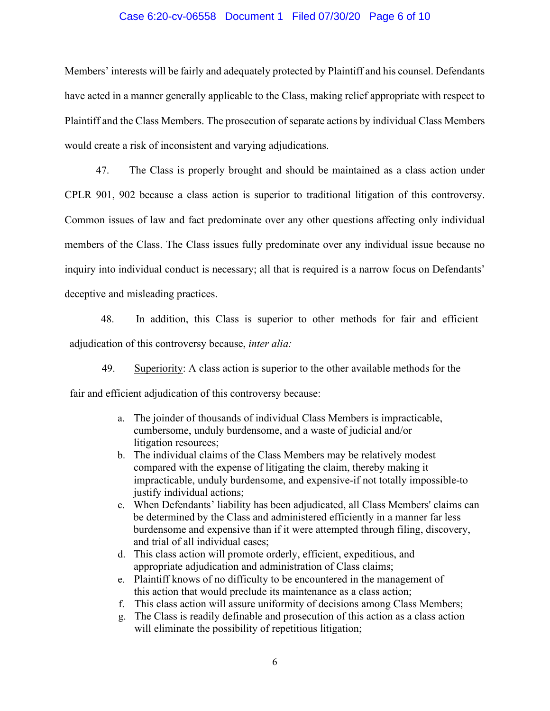#### Case 6:20-cv-06558 Document 1 Filed 07/30/20 Page 6 of 10

Members' interests will be fairly and adequately protected by Plaintiff and his counsel. Defendants have acted in a manner generally applicable to the Class, making relief appropriate with respect to Plaintiff and the Class Members. The prosecution of separate actions by individual Class Members would create a risk of inconsistent and varying adjudications.

47. The Class is properly brought and should be maintained as a class action under CPLR 901, 902 because a class action is superior to traditional litigation of this controversy. Common issues of law and fact predominate over any other questions affecting only individual members of the Class. The Class issues fully predominate over any individual issue because no inquiry into individual conduct is necessary; all that is required is a narrow focus on Defendants' deceptive and misleading practices.

48. In addition, this Class is superior to other methods for fair and efficient adjudication of this controversy because, *inter alia:*

49. Superiority: A class action is superior to the other available methods for the fair and efficient adjudication of this controversy because:

- a. The joinder of thousands of individual Class Members is impracticable, cumbersome, unduly burdensome, and a waste of judicial and/or litigation resources;
- b. The individual claims of the Class Members may be relatively modest compared with the expense of litigating the claim, thereby making it impracticable, unduly burdensome, and expensive-if not totally impossible-to justify individual actions;
- c. When Defendants' liability has been adjudicated, all Class Members' claims can be determined by the Class and administered efficiently in a manner far less burdensome and expensive than if it were attempted through filing, discovery, and trial of all individual cases;
- d. This class action will promote orderly, efficient, expeditious, and appropriate adjudication and administration of Class claims;
- e. Plaintiff knows of no difficulty to be encountered in the management of this action that would preclude its maintenance as a class action;
- f. This class action will assure uniformity of decisions among Class Members;
- g. The Class is readily definable and prosecution of this action as a class action will eliminate the possibility of repetitious litigation;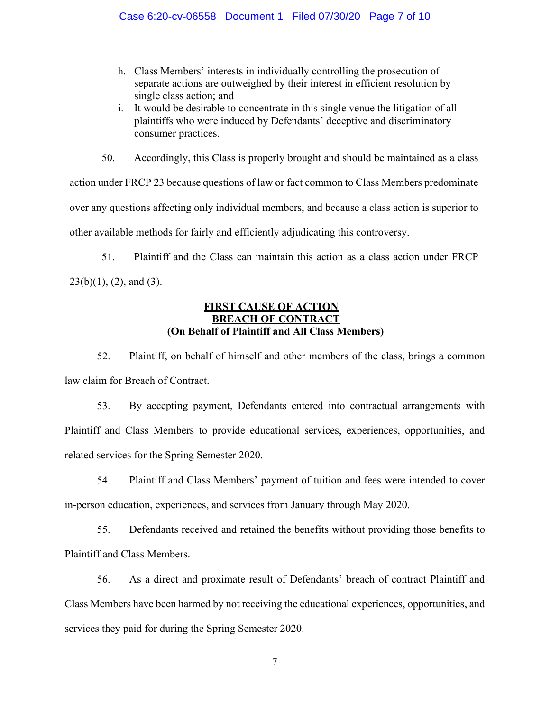# Case 6:20-cv-06558 Document 1 Filed 07/30/20 Page 7 of 10

- h. Class Members' interests in individually controlling the prosecution of separate actions are outweighed by their interest in efficient resolution by single class action; and
- i. It would be desirable to concentrate in this single venue the litigation of all plaintiffs who were induced by Defendants' deceptive and discriminatory consumer practices.

50. Accordingly, this Class is properly brought and should be maintained as a class action under FRCP 23 because questions of law or fact common to Class Members predominate over any questions affecting only individual members, and because a class action is superior to other available methods for fairly and efficiently adjudicating this controversy.

51. Plaintiff and the Class can maintain this action as a class action under FRCP  $23(b)(1)$ ,  $(2)$ , and  $(3)$ .

# **FIRST CAUSE OF ACTION BREACH OF CONTRACT (On Behalf of Plaintiff and All Class Members)**

52. Plaintiff, on behalf of himself and other members of the class, brings a common law claim for Breach of Contract.

53. By accepting payment, Defendants entered into contractual arrangements with Plaintiff and Class Members to provide educational services, experiences, opportunities, and related services for the Spring Semester 2020.

54. Plaintiff and Class Members' payment of tuition and fees were intended to cover in-person education, experiences, and services from January through May 2020.

55. Defendants received and retained the benefits without providing those benefits to Plaintiff and Class Members.

56. As a direct and proximate result of Defendants' breach of contract Plaintiff and Class Members have been harmed by not receiving the educational experiences, opportunities, and services they paid for during the Spring Semester 2020.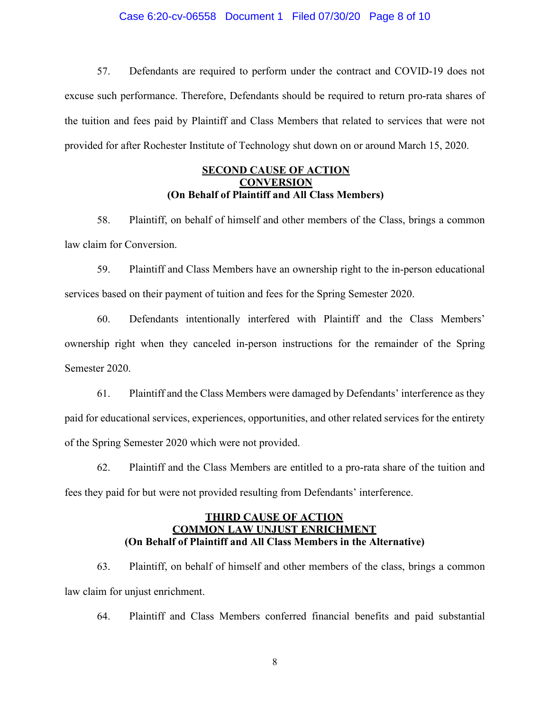### Case 6:20-cv-06558 Document 1 Filed 07/30/20 Page 8 of 10

57. Defendants are required to perform under the contract and COVID-19 does not excuse such performance. Therefore, Defendants should be required to return pro-rata shares of the tuition and fees paid by Plaintiff and Class Members that related to services that were not provided for after Rochester Institute of Technology shut down on or around March 15, 2020.

# **SECOND CAUSE OF ACTION CONVERSION (On Behalf of Plaintiff and All Class Members)**

58. Plaintiff, on behalf of himself and other members of the Class, brings a common law claim for Conversion.

59. Plaintiff and Class Members have an ownership right to the in-person educational services based on their payment of tuition and fees for the Spring Semester 2020.

60. Defendants intentionally interfered with Plaintiff and the Class Members' ownership right when they canceled in-person instructions for the remainder of the Spring Semester 2020.

61. Plaintiff and the Class Members were damaged by Defendants' interference as they paid for educational services, experiences, opportunities, and other related services for the entirety of the Spring Semester 2020 which were not provided.

62. Plaintiff and the Class Members are entitled to a pro-rata share of the tuition and fees they paid for but were not provided resulting from Defendants' interference.

# **THIRD CAUSE OF ACTION COMMON LAW UNJUST ENRICHMENT (On Behalf of Plaintiff and All Class Members in the Alternative)**

63. Plaintiff, on behalf of himself and other members of the class, brings a common law claim for unjust enrichment.

64. Plaintiff and Class Members conferred financial benefits and paid substantial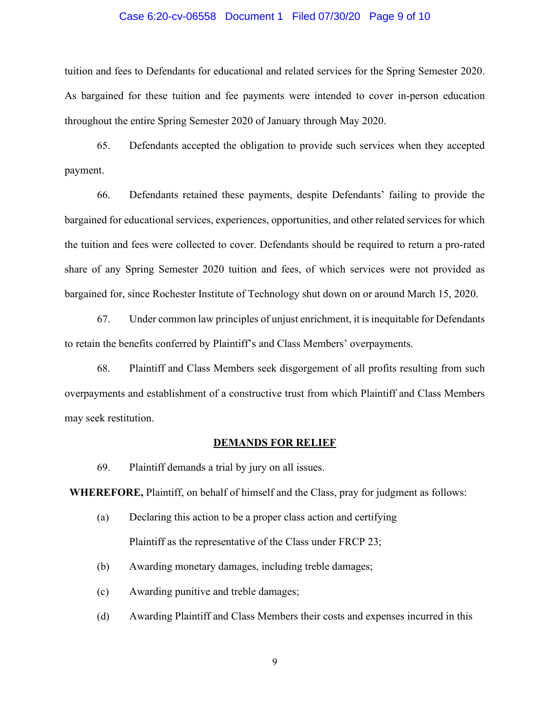### Case 6:20-cv-06558 Document 1 Filed 07/30/20 Page 9 of 10

tuition and fees to Defendants for educational and related services for the Spring Semester 2020. As bargained for these tuition and fee payments were intended to cover in-person education throughout the entire Spring Semester 2020 of January through May 2020.

65. Defendants accepted the obligation to provide such services when they accepted payment.

66. Defendants retained these payments, despite Defendants' failing to provide the bargained for educational services, experiences, opportunities, and other related services for which the tuition and fees were collected to cover. Defendants should be required to return a pro-rated share of any Spring Semester 2020 tuition and fees, of which services were not provided as bargained for, since Rochester Institute of Technology shut down on or around March 15, 2020.

67. Under common law principles of unjust enrichment, it is inequitable for Defendants to retain the benefits conferred by Plaintiff's and Class Members' overpayments.

68. Plaintiff and Class Members seek disgorgement of all profits resulting from such overpayments and establishment of a constructive trust from which Plaintiff and Class Members may seek restitution.

### **DEMANDS FOR RELIEF**

69. Plaintiff demands a trial by jury on all issues.

**WHEREFORE,** Plaintiff, on behalf of himself and the Class, pray for judgment as follows:

- (a) Declaring this action to be a proper class action and certifying Plaintiff as the representative of the Class under FRCP 23;
- (b) Awarding monetary damages, including treble damages;
- (c) Awarding punitive and treble damages;
- (d) Awarding Plaintiff and Class Members their costs and expenses incurred in this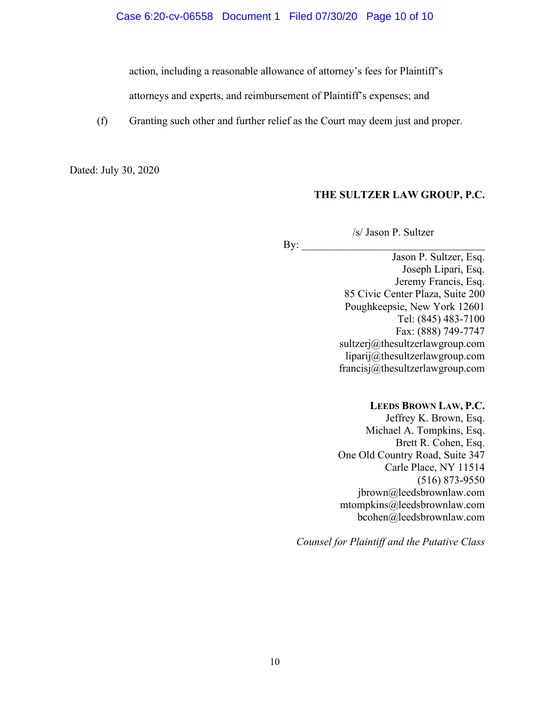action, including a reasonable allowance of attorney's fees for Plaintiff's

attorneys and experts, and reimbursement of Plaintiff's expenses; and

(f) Granting such other and further relief as the Court may deem just and proper.

 $\mathbf{By:}$ 

Dated: July 30, 2020

# **THE SULTZER LAW GROUP, P.C.**

/s/ Jason P. Sultzer

Jason P. Sultzer, Esq. Joseph Lipari, Esq. Jeremy Francis, Esq. 85 Civic Center Plaza, Suite 200 Poughkeepsie, New York 12601 Tel: (845) 483-7100 Fax: (888) 749-7747 [sultzerj@thesultzerlawgroup.com](mailto:sultzerj@thesultzerlawgroup.com) [liparij@thesultzerlawgroup.com](mailto:liparij@thesultzerlawgroup.com) [francisj@thesultzerlawgroup.com](mailto:francisj@thesultzerlawgroup.com)

## **LEEDS BROWN LAW, P.C.**

Jeffrey K. Brown, Esq. Michael A. Tompkins, Esq. Brett R. Cohen, Esq. One Old Country Road, Suite 347 Carle Place, NY 11514 (516) 873-9550 jbrown@leedsbrownlaw.com mtompkins@leedsbrownlaw.com bcohen@leedsbrownlaw.com

*Counsel for Plaintiff and the Putative Class*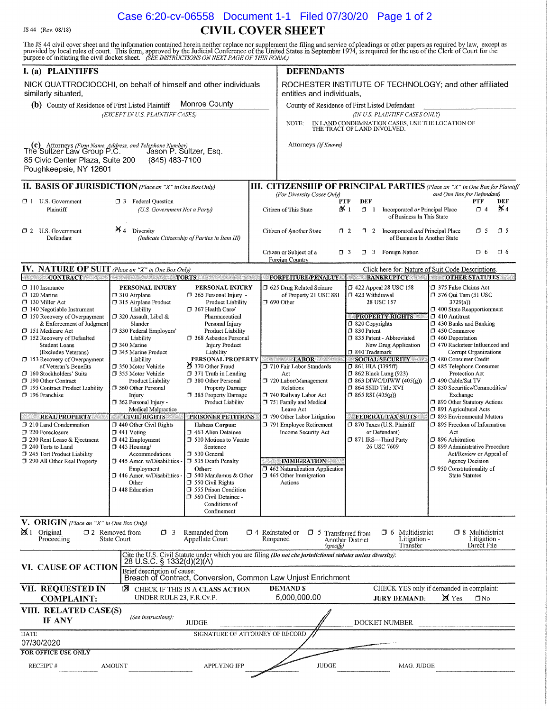# Case 6:20-cv-06558 Document 1-1 Filed 07/30/20 Page 1 of 2**CIVIL COVER SHEET**

JS 44 (Rev. 08/18)

The JS 44 civil cover sheet and the information contained herein neither replace nor supplement the filing and service of pleadings or other papers as required by law, except as provided by local rules of court. This form, I. (a) PLAINTIFFS **DEFENDANTS** NICK QUATTROCIOCCHI, on behalf of himself and other individuals ROCHESTER INSTITUTE OF TECHNOLOGY; and other affiliated similarly situated, entities and individuals. (b) County of Residence of First Listed Plaintiff Monroe County County of Residence of First Listed Defendant (EXCEPT IN U.S. PLAINTIFF CASES) (IN U.S. PLAINTIFF CASES ONLY) IN LAND CONDEMNATION CASES, USE THE LOCATION OF THE TRACT OF LAND INVOLVED. **NOTE** (c) Attorneys (Firm Name, Address, and Telephone Number)<br>The Sultzer Law Group P.C. Jason P. Sultzer, Esq. Attorneys (If Known) 85 Civic Center Plaza, Suite 200 (845) 483-7100 Poughkeepsie, NY 12601 **II. BASIS OF JURISDICTION** (Place an "X" in One Box Only) **III. CITIZENSHIP OF PRINCIPAL PARTIES** (Place an "X" in One Box for Plaintiff (For Diversity Cases Only) and One Box for Defendant)  $\sigma$  1 U.S. Government **3** Federal Question PTF DEF PTF DEF (U.S. Government Not a Party)  $\mathsf{X}$ Plaintiff Citizen of This State ¥ ৷  $\Box$  1 Incorporated or Principal Place  $\Box$  4 of Business In This State  $\cancel{5}$  4 Diversity  $\Box$  2 U.S. Government  $\Box$  2 Incorporated and Principal Place  $\Box$  5  $\Box$  5 Citizen of Another State  $72$ (Indicate Citizenship of Parties in Item III) of Business In Another State Defendant Citizen or Subiect of a 7 3 Foreign Nation  $\Box$  6  $\Box$  6  $\Box$  3 Foreign Country **NATURE OF SUIT** (Place an "X" in One Box Only) IV. Click here for: Nature of Suit Code Descriptions. **CONTRACT FORFEITURE/PENALTY BANKRUPTCY OTHER STATUTES TORTS**  $\Box$  110 Insurance PERSONAL INJURY 1 422 Appeal 28 USC 158 □ 375 False Claims Act PERSONAL INJURY 5 625 Drug Related Seizure  $\Box$  120 Marine □ 310 Airplane  $\Box$  365 Personal Injury  $\cdot$ of Property 21 USC 881  $\Box$  423 Withdrawal  $\Box$  376 Oui Tam (31 USC 130 Miller Act 315 Airplane Product 28 USC 157  $3729(a)$ Product Liability  $\Box$  690 Other  $\Box$  400 State Reapportionment  $\Box$  140 Negotiable Instrument Liability  $\Box$  367 Health Care/  $\Box$  320 Assault, Libel & **PROPERTY RIGHTS**  $\Box$  410 Antimist 150 Recovery of Overpayment Pharmaceutical Personal Injury  $\overline{O}$  430 Banks and Banking  $\overline{O}$  820 Copyrights & Enforcement of Judgmen Slander 330 Federal Employers' 151 Medicare Act Product Liability  $\Box$  830 Patent  $7450$  Commerce □ 152 Recovery of Defaulted  $\overline{O}$  460 Deportation □ 368 Asbestos Personal <sup>7</sup> 835 Patent - Abbreviated Liability  $\Box$  340 Marine **Injury Product** □ 470 Racketeer Influenced and New Drug Application Student Loans  $7840$  Trademark □ 345 Marine Product (Excludes Veterans) Liability **Corrupt Organizations** PERSONAL PROPERTY  $\Box$  480 Consumer Credit 153 Recovery of Overpayment Liability **LABOR SOCIAL SECURITY** 370 Other Fraud of Veteran's Benefits 350 Motor Vehicle 710 Fair Labor Standards  $7861$  HIA (1395ff) 485 Telephone Consumer  $\overline{O}$  862 Black Lung (923) 160 Stockholders' Suits  $\Box$  371 Truth in Lending 7 355 Motor Vehicle Act Protection Act 720 Labor/Management  $\Box$  863 DIWC/DIWW (405(g))  $\Box$  490 Cable/Sat TV **D** 190 Other Contract Product Liability 7 380 Other Personal **J** 195 Contract Product Liability 360 Other Personal **7 864 SSID Title XVI** □ 850 Securities/Commodities/ Property Damage Relations 740 Railway Labor Act  $\Box$  865 RSI (405(g)) 385 Property Damage 196 Franchise Injury Exchange 390 Other Statutory Actions □ 362 Personal Injury -Product Liability 751 Family and Medical Medical Malpractice 391 Agricultural Acts Leave Act **REAL PROPERTY CIVIL RIGHTS PRISONER PETITIONS** 790 Other Labor Litigation **FEDERAL TAX SUITS** 7 893 Environmental Matters 370 Taxes (U.S. Plaintiff 395 Freedom of Information C 210 Land Condemnation 440 Other Civil Rights **Habeas Corpus:** 791 Employee Retirement  $\Box$  441 Voting 7 220 Foreclosure 1 463 Alien Detainee Income Security Act or Defendant) Act 371 IRS-Third Party  $\Box$  442 Employment 396 Arbitration 7 230 Rent Lease & Ejectment **T** 510 Motions to Vacate 26 USC 7609 399 Administrative Procedure CJ 240 Torts to Land  $\Box$  443 Housing/ Sentence 245 Tort Product Liability Accommodations  $\Box$  530 General Act/Review or Appeal of  $\Box$  445 Amer. w/Disabilities **J** 535 Death Penalty **IMMIGRATION** Agency Decision 7 290 All Other Real Property Employment Other: 1462 Naturalization Application □ 950 Constitutionality of  $\Box$  540 Mandamus & Other  $\Box$  465 Other Immigration 7 446 Amer. w/Disabilities **State Statutes**  $\Box$  550 Civil Rights Other Actions  $\Box$  448 Education 555 Prison Condition 560 Civil Detainee -Conditions of Confinement V. ORIGIN (Place an "X" in One Box Only) Original  $\Box$  2 Removed from  $\mathbb{M}$  1 Remanded from  $\Box$  4 Reinstated or Multidistrict 7 8 Multidistrict  $\Box$ 3  $\Box$  5 Transferred from  $\Box$  6 Litigation -<br>Direct File State Court Litigation -Proceeding Appellate Court Reopened Another District Transfer (specify) Cite the U.S. Civil Statute under which you are filing *(Do not cite jurisdictional statutes unless diversity)*:<br>28 U.S.C. § 1332(d)(2)(A) VI. CAUSE OF ACTION Brief description of cause:<br>Breach of Contract, Conversion, Common Law Unjust Enrichment VII. REQUESTED IN CHECK IF THIS IS A CLASS ACTION **DEMANDS** CHECK YES only if demanded in complaint: 内 UNDER RULE 23, F.R.Cv.P 5,000,000.00  $\boxtimes$  Yes **JURY DEMAND:**  $\Box$ No **COMPLAINT:** VIII. RELATED CASE(S) (See instructions). IF ANY **IUDGE** DOCKET NUMBER **DATE** SIGNATURE OF ATTORNEY OF RECORD 07/30/2020 FOR OFFICE USE ONLY RECEIPT # **AMOUNT** APPLYING IFP **JUDGE** MAG. JUDGE